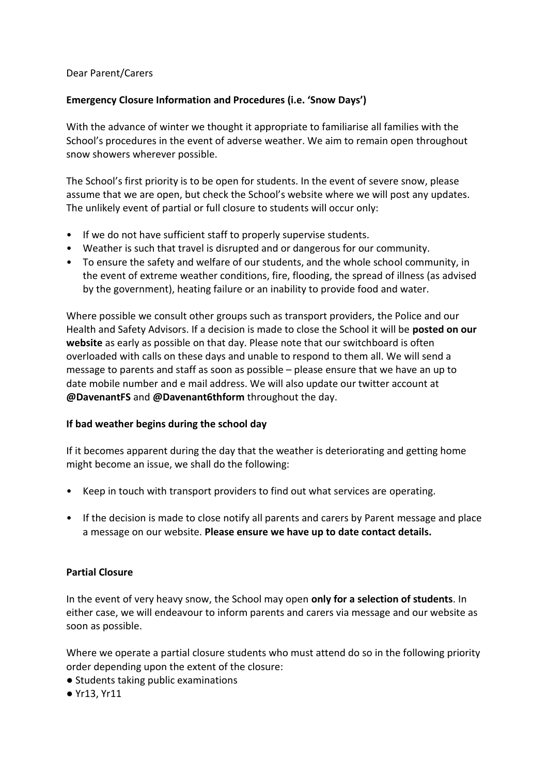## Dear Parent/Carers

# **Emergency Closure Information and Procedures (i.e. 'Snow Days')**

With the advance of winter we thought it appropriate to familiarise all families with the School's procedures in the event of adverse weather. We aim to remain open throughout snow showers wherever possible.

The School's first priority is to be open for students. In the event of severe snow, please assume that we are open, but check the School's website where we will post any updates. The unlikely event of partial or full closure to students will occur only:

- If we do not have sufficient staff to properly supervise students.
- Weather is such that travel is disrupted and or dangerous for our community.
- To ensure the safety and welfare of our students, and the whole school community, in the event of extreme weather conditions, fire, flooding, the spread of illness (as advised by the government), heating failure or an inability to provide food and water.

Where possible we consult other groups such as transport providers, the Police and our Health and Safety Advisors. If a decision is made to close the School it will be **posted on our website** as early as possible on that day. Please note that our switchboard is often overloaded with calls on these days and unable to respond to them all. We will send a message to parents and staff as soon as possible – please ensure that we have an up to date mobile number and e mail address. We will also update our twitter account at **@DavenantFS** and **@Davenant6thform** throughout the day.

## **If bad weather begins during the school day**

If it becomes apparent during the day that the weather is deteriorating and getting home might become an issue, we shall do the following:

- Keep in touch with transport providers to find out what services are operating.
- If the decision is made to close notify all parents and carers by Parent message and place a message on our website. **Please ensure we have up to date contact details.**

## **Partial Closure**

In the event of very heavy snow, the School may open **only for a selection of students**. In either case, we will endeavour to inform parents and carers via message and our website as soon as possible.

Where we operate a partial closure students who must attend do so in the following priority order depending upon the extent of the closure:

- Students taking public examinations
- Yr13, Yr11